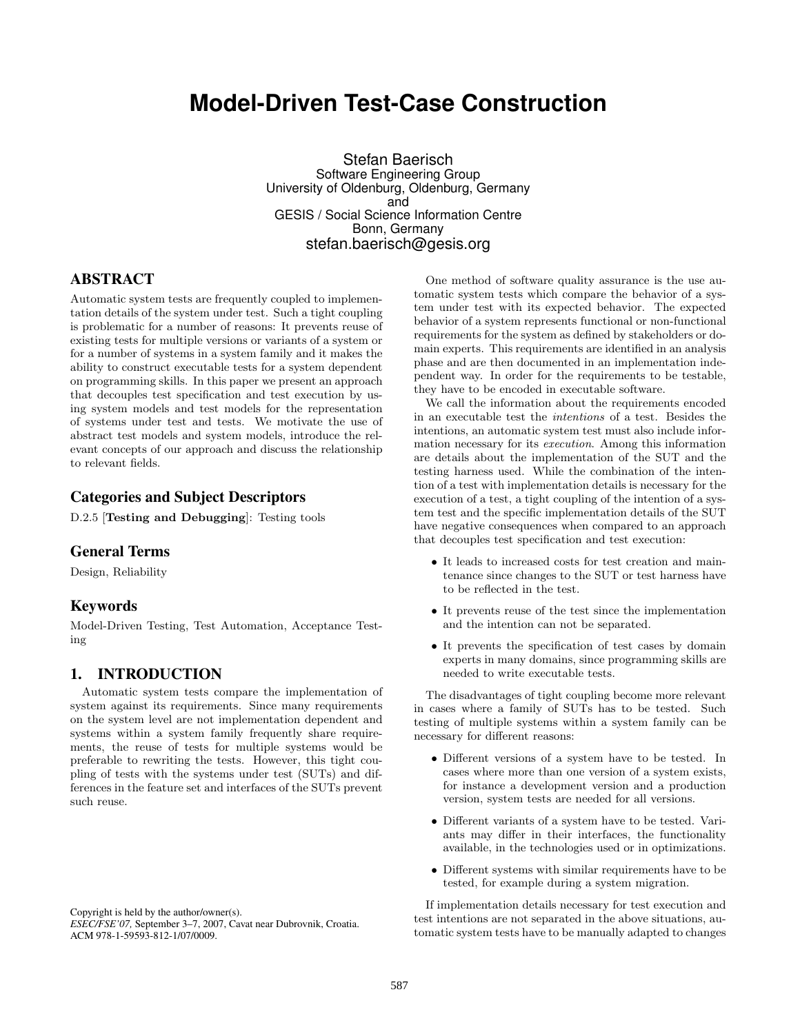# **Model-Driven Test-Case Construction**

Stefan Baerisch Software Engineering Group University of Oldenburg, Oldenburg, Germany and GESIS / Social Science Information Centre Bonn, Germany stefan.baerisch@gesis.org

# ABSTRACT

Automatic system tests are frequently coupled to implementation details of the system under test. Such a tight coupling is problematic for a number of reasons: It prevents reuse of existing tests for multiple versions or variants of a system or for a number of systems in a system family and it makes the ability to construct executable tests for a system dependent on programming skills. In this paper we present an approach that decouples test specification and test execution by using system models and test models for the representation of systems under test and tests. We motivate the use of abstract test models and system models, introduce the relevant concepts of our approach and discuss the relationship to relevant fields.

### Categories and Subject Descriptors

D.2.5 [Testing and Debugging]: Testing tools

### General Terms

Design, Reliability

#### Keywords

Model-Driven Testing, Test Automation, Acceptance Testing

## 1. INTRODUCTION

Automatic system tests compare the implementation of system against its requirements. Since many requirements on the system level are not implementation dependent and systems within a system family frequently share requirements, the reuse of tests for multiple systems would be preferable to rewriting the tests. However, this tight coupling of tests with the systems under test (SUTs) and differences in the feature set and interfaces of the SUTs prevent such reuse.

Copyright is held by the author/owner(s).

*ESEC/FSE'07,* September 3–7, 2007, Cavat near Dubrovnik, Croatia. ACM 978-1-59593-812-1/07/0009.

One method of software quality assurance is the use automatic system tests which compare the behavior of a system under test with its expected behavior. The expected behavior of a system represents functional or non-functional requirements for the system as defined by stakeholders or domain experts. This requirements are identified in an analysis phase and are then documented in an implementation independent way. In order for the requirements to be testable, they have to be encoded in executable software.

We call the information about the requirements encoded in an executable test the intentions of a test. Besides the intentions, an automatic system test must also include information necessary for its execution. Among this information are details about the implementation of the SUT and the testing harness used. While the combination of the intention of a test with implementation details is necessary for the execution of a test, a tight coupling of the intention of a system test and the specific implementation details of the SUT have negative consequences when compared to an approach that decouples test specification and test execution:

- It leads to increased costs for test creation and maintenance since changes to the SUT or test harness have to be reflected in the test.
- It prevents reuse of the test since the implementation and the intention can not be separated.
- It prevents the specification of test cases by domain experts in many domains, since programming skills are needed to write executable tests.

The disadvantages of tight coupling become more relevant in cases where a family of SUTs has to be tested. Such testing of multiple systems within a system family can be necessary for different reasons:

- Different versions of a system have to be tested. In cases where more than one version of a system exists, for instance a development version and a production version, system tests are needed for all versions.
- Different variants of a system have to be tested. Variants may differ in their interfaces, the functionality available, in the technologies used or in optimizations.
- Different systems with similar requirements have to be tested, for example during a system migration.

If implementation details necessary for test execution and test intentions are not separated in the above situations, automatic system tests have to be manually adapted to changes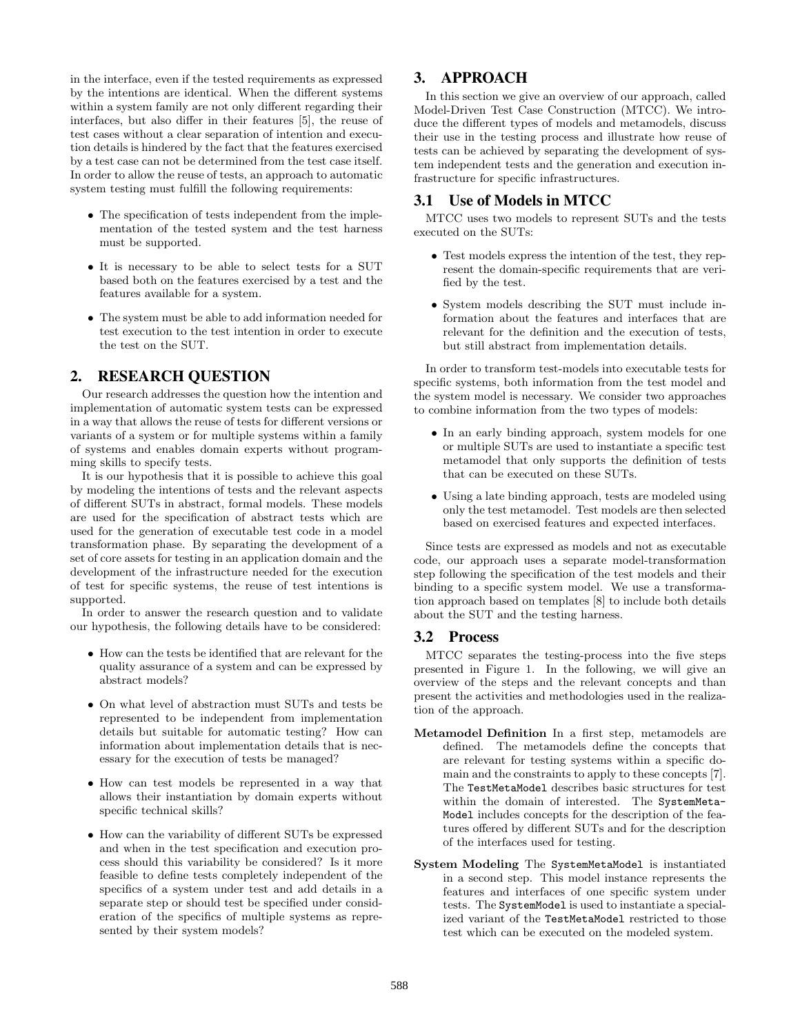in the interface, even if the tested requirements as expressed by the intentions are identical. When the different systems within a system family are not only different regarding their interfaces, but also differ in their features [5], the reuse of test cases without a clear separation of intention and execution details is hindered by the fact that the features exercised by a test case can not be determined from the test case itself. In order to allow the reuse of tests, an approach to automatic system testing must fulfill the following requirements:

- The specification of tests independent from the implementation of the tested system and the test harness must be supported.
- It is necessary to be able to select tests for a SUT based both on the features exercised by a test and the features available for a system.
- The system must be able to add information needed for test execution to the test intention in order to execute the test on the SUT.

# 2. RESEARCH QUESTION

Our research addresses the question how the intention and implementation of automatic system tests can be expressed in a way that allows the reuse of tests for different versions or variants of a system or for multiple systems within a family of systems and enables domain experts without programming skills to specify tests.

It is our hypothesis that it is possible to achieve this goal by modeling the intentions of tests and the relevant aspects of different SUTs in abstract, formal models. These models are used for the specification of abstract tests which are used for the generation of executable test code in a model transformation phase. By separating the development of a set of core assets for testing in an application domain and the development of the infrastructure needed for the execution of test for specific systems, the reuse of test intentions is supported.

In order to answer the research question and to validate our hypothesis, the following details have to be considered:

- How can the tests be identified that are relevant for the quality assurance of a system and can be expressed by abstract models?
- On what level of abstraction must SUTs and tests be represented to be independent from implementation details but suitable for automatic testing? How can information about implementation details that is necessary for the execution of tests be managed?
- How can test models be represented in a way that allows their instantiation by domain experts without specific technical skills?
- How can the variability of different SUTs be expressed and when in the test specification and execution process should this variability be considered? Is it more feasible to define tests completely independent of the specifics of a system under test and add details in a separate step or should test be specified under consideration of the specifics of multiple systems as represented by their system models?

## 3. APPROACH

In this section we give an overview of our approach, called Model-Driven Test Case Construction (MTCC). We introduce the different types of models and metamodels, discuss their use in the testing process and illustrate how reuse of tests can be achieved by separating the development of system independent tests and the generation and execution infrastructure for specific infrastructures.

## 3.1 Use of Models in MTCC

MTCC uses two models to represent SUTs and the tests executed on the SUTs:

- Test models express the intention of the test, they represent the domain-specific requirements that are verified by the test.
- System models describing the SUT must include information about the features and interfaces that are relevant for the definition and the execution of tests, but still abstract from implementation details.

In order to transform test-models into executable tests for specific systems, both information from the test model and the system model is necessary. We consider two approaches to combine information from the two types of models:

- In an early binding approach, system models for one or multiple SUTs are used to instantiate a specific test metamodel that only supports the definition of tests that can be executed on these SUTs.
- Using a late binding approach, tests are modeled using only the test metamodel. Test models are then selected based on exercised features and expected interfaces.

Since tests are expressed as models and not as executable code, our approach uses a separate model-transformation step following the specification of the test models and their binding to a specific system model. We use a transformation approach based on templates [8] to include both details about the SUT and the testing harness.

#### 3.2 Process

MTCC separates the testing-process into the five steps presented in Figure 1. In the following, we will give an overview of the steps and the relevant concepts and than present the activities and methodologies used in the realization of the approach.

- Metamodel Definition In a first step, metamodels are defined. The metamodels define the concepts that are relevant for testing systems within a specific domain and the constraints to apply to these concepts [7]. The TestMetaModel describes basic structures for test within the domain of interested. The SystemMeta-Model includes concepts for the description of the features offered by different SUTs and for the description of the interfaces used for testing.
- System Modeling The SystemMetaModel is instantiated in a second step. This model instance represents the features and interfaces of one specific system under tests. The SystemModel is used to instantiate a specialized variant of the TestMetaModel restricted to those test which can be executed on the modeled system.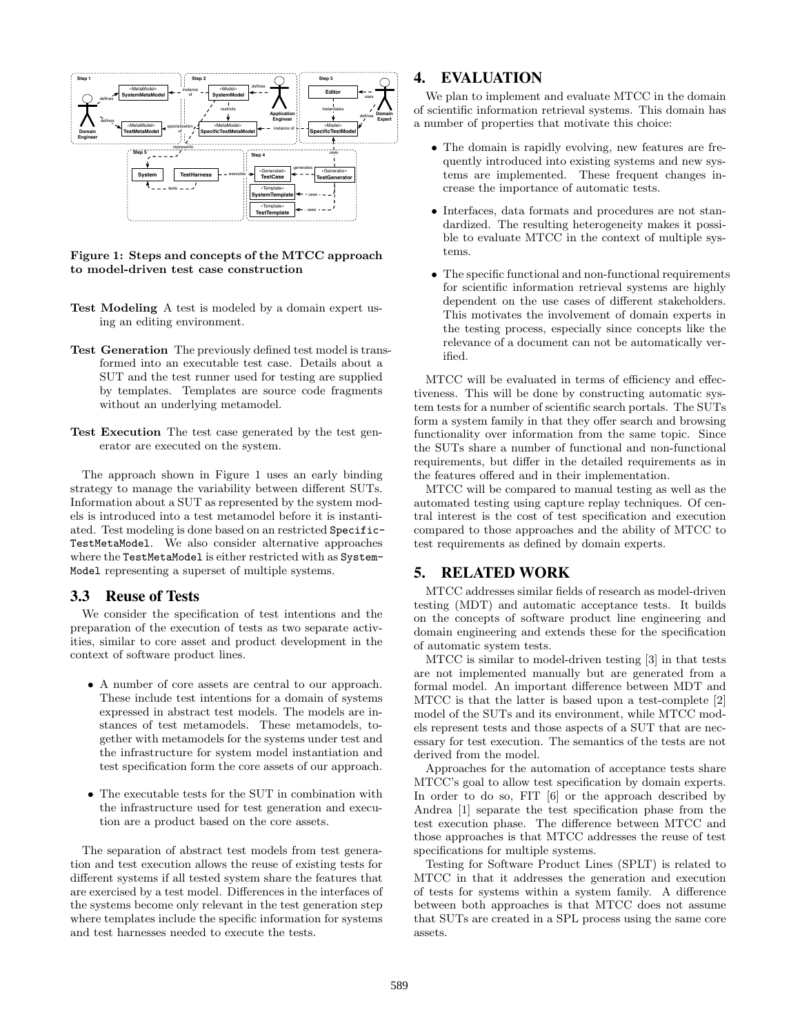

Figure 1: Steps and concepts of the MTCC approach to model-driven test case construction

- Test Modeling A test is modeled by a domain expert using an editing environment.
- Test Generation The previously defined test model is transformed into an executable test case. Details about a SUT and the test runner used for testing are supplied by templates. Templates are source code fragments without an underlying metamodel.
- Test Execution The test case generated by the test generator are executed on the system.

The approach shown in Figure 1 uses an early binding strategy to manage the variability between different SUTs. Information about a SUT as represented by the system models is introduced into a test metamodel before it is instantiated. Test modeling is done based on an restricted Specific-TestMetaModel. We also consider alternative approaches where the TestMetaModel is either restricted with as System-Model representing a superset of multiple systems.

#### 3.3 Reuse of Tests

We consider the specification of test intentions and the preparation of the execution of tests as two separate activities, similar to core asset and product development in the context of software product lines.

- A number of core assets are central to our approach. These include test intentions for a domain of systems expressed in abstract test models. The models are instances of test metamodels. These metamodels, together with metamodels for the systems under test and the infrastructure for system model instantiation and test specification form the core assets of our approach.
- The executable tests for the SUT in combination with the infrastructure used for test generation and execution are a product based on the core assets.

The separation of abstract test models from test generation and test execution allows the reuse of existing tests for different systems if all tested system share the features that are exercised by a test model. Differences in the interfaces of the systems become only relevant in the test generation step where templates include the specific information for systems and test harnesses needed to execute the tests.

#### 4. EVALUATION

We plan to implement and evaluate MTCC in the domain of scientific information retrieval systems. This domain has a number of properties that motivate this choice:

- The domain is rapidly evolving, new features are frequently introduced into existing systems and new systems are implemented. These frequent changes increase the importance of automatic tests.
- Interfaces, data formats and procedures are not standardized. The resulting heterogeneity makes it possible to evaluate MTCC in the context of multiple systems.
- The specific functional and non-functional requirements for scientific information retrieval systems are highly dependent on the use cases of different stakeholders. This motivates the involvement of domain experts in the testing process, especially since concepts like the relevance of a document can not be automatically verified.

MTCC will be evaluated in terms of efficiency and effectiveness. This will be done by constructing automatic system tests for a number of scientific search portals. The SUTs form a system family in that they offer search and browsing functionality over information from the same topic. Since the SUTs share a number of functional and non-functional requirements, but differ in the detailed requirements as in the features offered and in their implementation.

MTCC will be compared to manual testing as well as the automated testing using capture replay techniques. Of central interest is the cost of test specification and execution compared to those approaches and the ability of MTCC to test requirements as defined by domain experts.

#### 5. RELATED WORK

MTCC addresses similar fields of research as model-driven testing (MDT) and automatic acceptance tests. It builds on the concepts of software product line engineering and domain engineering and extends these for the specification of automatic system tests.

MTCC is similar to model-driven testing [3] in that tests are not implemented manually but are generated from a formal model. An important difference between MDT and MTCC is that the latter is based upon a test-complete [2] model of the SUTs and its environment, while MTCC models represent tests and those aspects of a SUT that are necessary for test execution. The semantics of the tests are not derived from the model.

Approaches for the automation of acceptance tests share MTCC's goal to allow test specification by domain experts. In order to do so, FIT [6] or the approach described by Andrea [1] separate the test specification phase from the test execution phase. The difference between MTCC and those approaches is that MTCC addresses the reuse of test specifications for multiple systems.

Testing for Software Product Lines (SPLT) is related to MTCC in that it addresses the generation and execution of tests for systems within a system family. A difference between both approaches is that MTCC does not assume that SUTs are created in a SPL process using the same core assets.